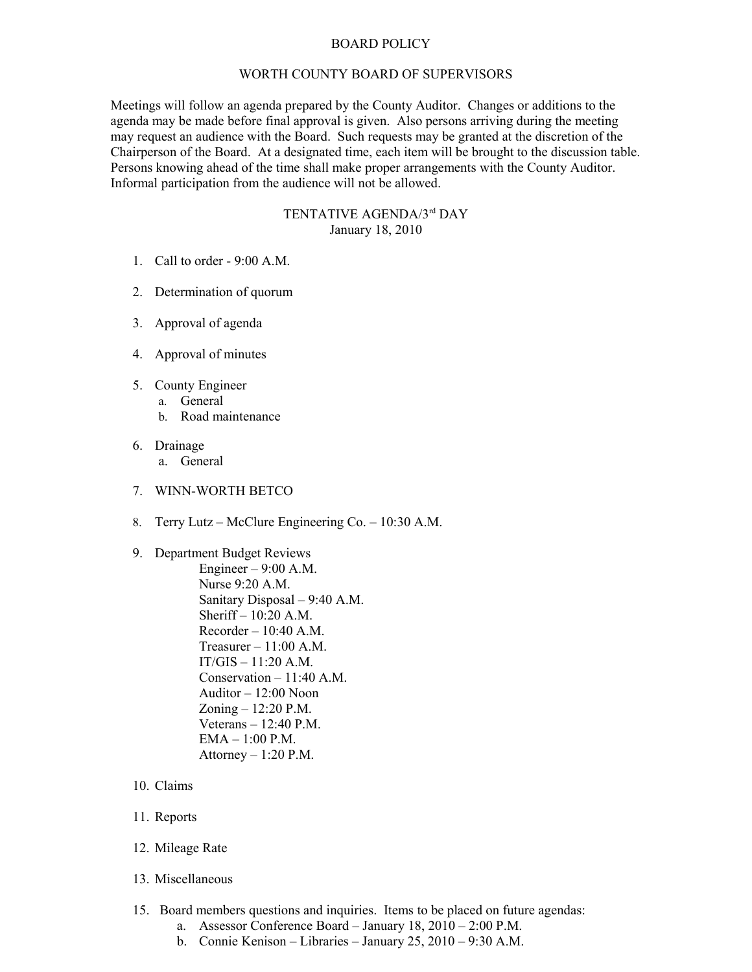## BOARD POLICY

## WORTH COUNTY BOARD OF SUPERVISORS

Meetings will follow an agenda prepared by the County Auditor. Changes or additions to the agenda may be made before final approval is given. Also persons arriving during the meeting may request an audience with the Board. Such requests may be granted at the discretion of the Chairperson of the Board. At a designated time, each item will be brought to the discussion table. Persons knowing ahead of the time shall make proper arrangements with the County Auditor. Informal participation from the audience will not be allowed.

## TENTATIVE AGENDA/3rd DAY January 18, 2010

- 1. Call to order 9:00 A.M.
- 2. Determination of quorum
- 3. Approval of agenda
- 4. Approval of minutes
- 5. County Engineer
	- a. General
		- b. Road maintenance
- 6. Drainage
	- a. General
- 7. WINN-WORTH BETCO
- 8. Terry Lutz McClure Engineering Co. 10:30 A.M.
- 9. Department Budget Reviews Engineer  $-9:00$  A.M. Nurse 9:20 A.M. Sanitary Disposal – 9:40 A.M. Sheriff – 10:20 A.M.  $Recorder - 10:40$  A.M. Treasurer – 11:00 A.M.  $IT/GIS - 11:20 A.M.$ Conservation – 11:40 A.M. Auditor – 12:00 Noon Zoning – 12:20 P.M. Veterans – 12:40 P.M. EMA – 1:00 P.M. Attorney  $-1:20$  P.M.
- 10. Claims
- 11. Reports
- 12. Mileage Rate
- 13. Miscellaneous
- 15. Board members questions and inquiries. Items to be placed on future agendas:
	- a. Assessor Conference Board January 18, 2010 2:00 P.M.
	- b. Connie Kenison Libraries January 25, 2010 9:30 A.M.